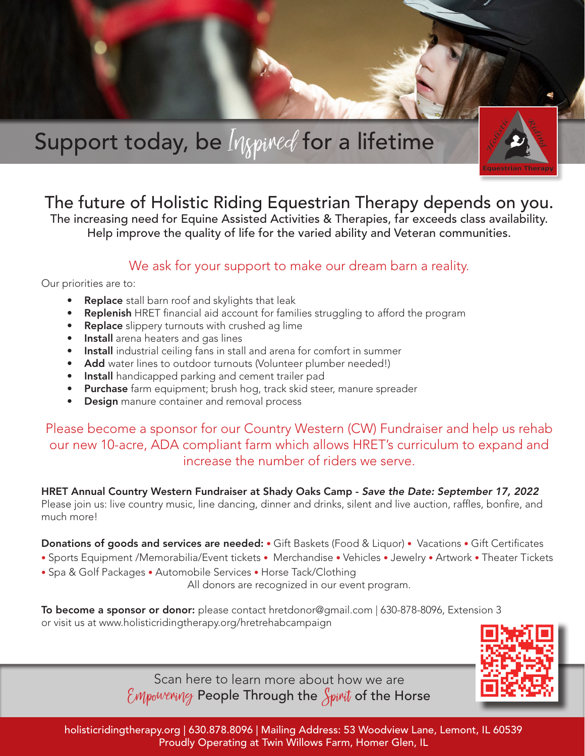

## The future of Holistic Riding Equestrian Therapy depends on you.

The increasing need for Equine Assisted Activities & Therapies, far exceeds class availability. Help improve the quality of life for the varied ability and Veteran communities.

## We ask for your support to make our dream barn a reality.

Our priorities are to:

- Replace stall barn roof and skylights that leak
- **Replenish** HRET financial aid account for families struggling to afford the program
- Replace slippery turnouts with crushed ag lime
- **Install** arena heaters and gas lines
- Install industrial ceiling fans in stall and arena for comfort in summer
- Add water lines to outdoor turnouts (Volunteer plumber needed!)
- **Install** handicapped parking and cement trailer pad
- Purchase farm equipment; brush hog, track skid steer, manure spreader
- **Design** manure container and removal process

Please become a sponsor for our Country Western (CW) Fundraiser and help us rehab our new 10-acre, ADA compliant farm which allows HRET's curriculum to expand and increase the number of riders we serve.

HRET Annual Country Western Fundraiser at Shady Oaks Camp - *Save the Date: September 17, 2022*  Please join us: live country music, line dancing, dinner and drinks, silent and live auction, raffles, bonfire, and much more!

Donations of goods and services are needed: • Gift Baskets (Food & Liquor) • Vacations • Gift Certificates

- Sports Equipment /Memorabilia/Event tickets Merchandise Vehicles Jewelry Artwork Theater Tickets
- Spa & Golf Packages Automobile Services Horse Tack/Clothing

All donors are recognized in our event program.

To become a sponsor or donor: please contact hretdonor@gmail.com | 630-878-8096, Extension 3 or visit us at www.holisticridingtherapy.org/hretrehabcampaign



Scan here to learn more about how we are  $\mathcal E$ Mpowering People Through the  $\mathcal S$ pirit of the Horse

holisticridingtherapy.org | 630.878.8096 | Mailing Address: 53 Woodview Lane, Lemont, IL 60539 Proudly Operating at Twin Willows Farm, Homer Glen, IL